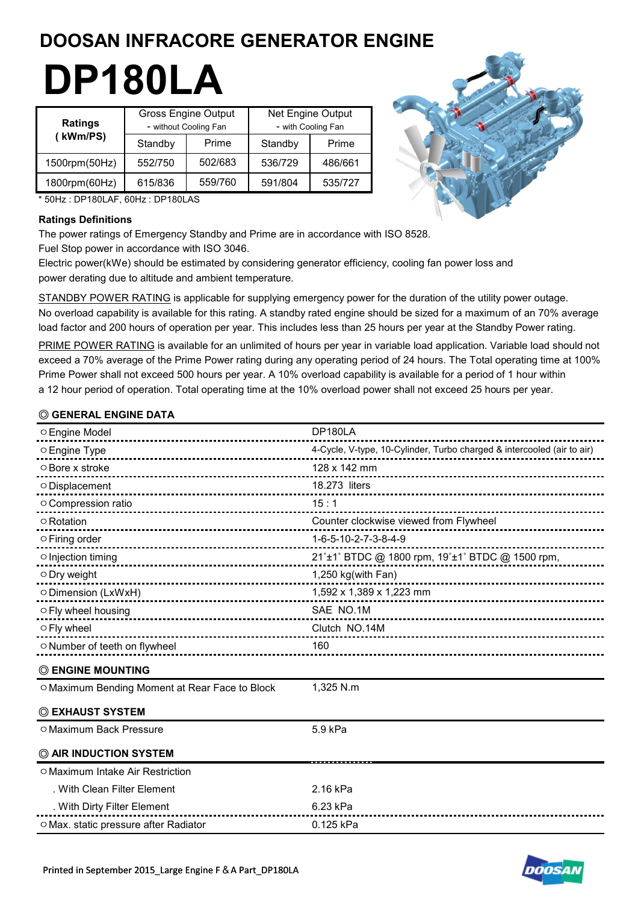# **DOOSAN INFRACORE GENERATOR ENGINE**

# **DP180LA**

| <b>Ratings</b> | <b>Gross Engine Output</b><br>- without Cooling Fan |         | Net Engine Output<br>- with Cooling Fan |         |  |
|----------------|-----------------------------------------------------|---------|-----------------------------------------|---------|--|
| (kWm/PS)       | Standby                                             | Prime   | Standby                                 | Prime   |  |
| 1500rpm(50Hz)  | 552/750                                             | 502/683 | 536/729                                 | 486/661 |  |
| 1800rpm(60Hz)  | 615/836                                             | 559/760 | 591/804                                 | 535/727 |  |



\* 50Hz : DP180LAF, 60Hz : DP180LAS

#### **Ratings Definitions**

The power ratings of Emergency Standby and Prime are in accordance with ISO 8528. Fuel Stop power in accordance with ISO 3046.

Electric power(kWe) should be estimated by considering generator efficiency, cooling fan power loss and power derating due to altitude and ambient temperature.

STANDBY POWER RATING is applicable for supplying emergency power for the duration of the utility power outage. No overload capability is available for this rating. A standby rated engine should be sized for a maximum of an 70% average load factor and 200 hours of operation per year. This includes less than 25 hours per year at the Standby Power rating.

PRIME POWER RATING is available for an unlimited of hours per year in variable load application. Variable load should not exceed a 70% average of the Prime Power rating during any operating period of 24 hours. The Total operating time at 100% Prime Power shall not exceed 500 hours per year. A 10% overload capability is available for a period of 1 hour within a 12 hour period of operation. Total operating time at the 10% overload power shall not exceed 25 hours per year.

# **◎ GENERAL ENGINE DATA**

| ○ Engine Model                                         | DP180LA                                                                |
|--------------------------------------------------------|------------------------------------------------------------------------|
| ○ Engine Type                                          | 4-Cycle, V-type, 10-Cylinder, Turbo charged & intercooled (air to air) |
| ○ Bore x stroke<br>--------------------------------    | 128 x 142 mm                                                           |
| O Displacement<br>----------------------------         | 18.273 liters                                                          |
| O Compression ratio                                    | 15:1                                                                   |
| ○ Rotation                                             | Counter clockwise viewed from Flywheel                                 |
| $\circ$ Firing order<br>------------------------------ | 1-6-5-10-2-7-3-8-4-9                                                   |
| $\circ$ Injection timing                               | 21°±1° BTDC @ 1800 rpm, 19°±1° BTDC @ 1500 rpm,                        |
| $\circ$ Dry weight                                     | 1,250 kg(with Fan)<br>-----------------------------                    |
| ○ Dimension (LxWxH)<br>------------------              | 1,592 x 1,389 x 1,223 mm<br>----------------------------               |
| ○ Fly wheel housing                                    | SAE NO.1M                                                              |
| ○ Fly wheel                                            | Clutch NO.14M                                                          |
| ○ Number of teeth on flywheel                          | 160                                                                    |
| <b>© ENGINE MOUNTING</b>                               |                                                                        |
| ○ Maximum Bending Moment at Rear Face to Block         | 1,325 N.m                                                              |
| © EXHAUST SYSTEM                                       |                                                                        |
| O Maximum Back Pressure                                | 5.9 kPa                                                                |
| C AIR INDUCTION SYSTEM                                 |                                                                        |
| O Maximum Intake Air Restriction                       |                                                                        |
| . With Clean Filter Element                            | 2.16 kPa                                                               |
| . With Dirty Filter Element                            | 6.23 kPa                                                               |
| O Max. static pressure after Radiator                  | 0.125 kPa                                                              |

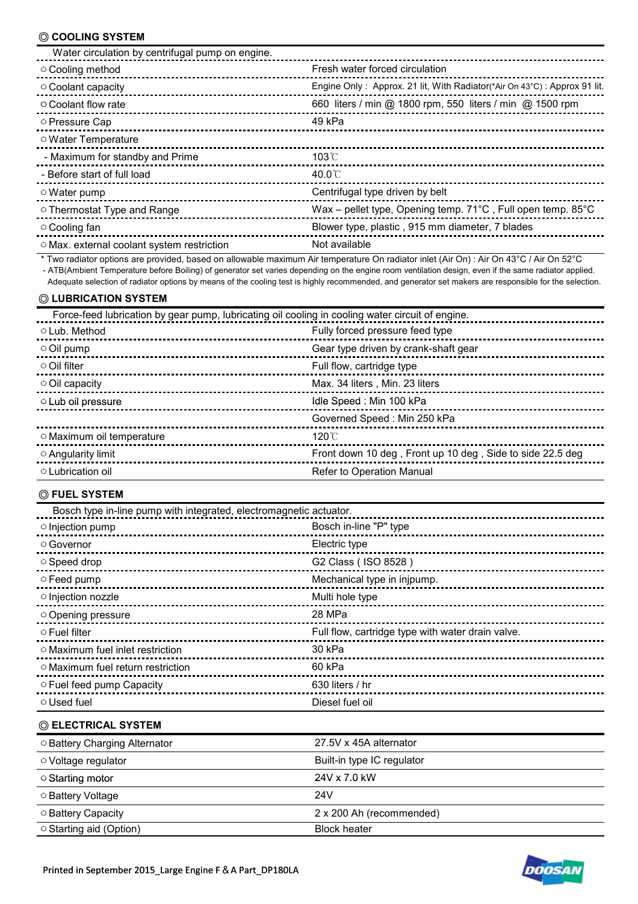# **◎ COOLING SYSTEM**

| Water circulation by centrifugal pump on engine. |                                                                          |
|--------------------------------------------------|--------------------------------------------------------------------------|
| ○ Cooling method                                 | Fresh water forced circulation                                           |
| ○ Coolant capacity                               | Engine Only: Approx. 21 lit, With Radiator(*Air On 43°C): Approx 91 lit. |
| $\circ$ Coolant flow rate                        | 660 liters / min @ 1800 rpm, 550 liters / min @ 1500 rpm                 |
| ○ Pressure Cap                                   | 49 kPa                                                                   |
| ○ Water Temperature                              |                                                                          |
| - Maximum for standby and Prime                  | $103^{\circ}$ C                                                          |
| - Before start of full load                      | 40.0 $\degree$                                                           |
| $\circ$ Water pump                               | Centrifugal type driven by belt                                          |
| ○ Thermostat Type and Range                      | Wax - pellet type, Opening temp. 71°C, Full open temp. 85°C              |
| ○ Cooling fan                                    | Blower type, plastic, 915 mm diameter, 7 blades                          |
| ○ Max. external coolant system restriction       | Not available                                                            |

 \* Two radiator options are provided, based on allowable maximum Air temperature On radiator inlet (Air On) : Air On 43°C / Air On 52°C - ATB(Ambient Temperature before Boiling) of generator set varies depending on the engine room ventilation design, even if the same radiator applied.

Adequate selection of radiator options by means of the cooling test is highly recommended, and generator set makers are responsible for the selection.

#### **◎ LUBRICATION SYSTEM**

| Force-feed lubrication by gear pump, lubricating oil cooling in cooling water circuit of engine. |                                                           |  |  |  |
|--------------------------------------------------------------------------------------------------|-----------------------------------------------------------|--|--|--|
| ○ Lub. Method                                                                                    | Fully forced pressure feed type                           |  |  |  |
| $\circ$ Oil pump                                                                                 | Gear type driven by crank-shaft gear                      |  |  |  |
| $\circ$ Oil filter                                                                               | Full flow, cartridge type                                 |  |  |  |
| $\circ$ Oil capacity                                                                             | Max. 34 liters, Min. 23 liters                            |  |  |  |
| O Lub oil pressure                                                                               | Idle Speed: Min 100 kPa                                   |  |  |  |
|                                                                                                  | Governed Speed: Min 250 kPa                               |  |  |  |
| O Maximum oil temperature                                                                        | $120^{\circ}$                                             |  |  |  |
| $\circ$ Angularity limit                                                                         | Front down 10 deg, Front up 10 deg, Side to side 22.5 deg |  |  |  |
| ○ Lubrication oil                                                                                | Refer to Operation Manual                                 |  |  |  |

#### **◎ FUEL SYSTEM**

| Bosch type in-line pump with integrated, electromagnetic actuator. |                                                   |  |  |
|--------------------------------------------------------------------|---------------------------------------------------|--|--|
| $\circ$ Injection pump                                             | Bosch in-line "P" type                            |  |  |
| ○ Governor                                                         | Electric type                                     |  |  |
| $\circ$ Speed drop                                                 | G2 Class (ISO 8528)                               |  |  |
| $\circ$ Feed pump                                                  | Mechanical type in injpump.                       |  |  |
| o Injection nozzle                                                 | Multi hole type                                   |  |  |
| Opening pressure                                                   | 28 MPa                                            |  |  |
| $\circ$ Fuel filter                                                | Full flow, cartridge type with water drain valve. |  |  |
| ○ Maximum fuel inlet restriction                                   | 30 kPa                                            |  |  |
| $\circ$ Maximum fuel return restriction                            | 60 kPa                                            |  |  |
| $\circ$ Fuel feed pump Capacity                                    | 630 liters / hr                                   |  |  |
| ○ Used fuel                                                        | Diesel fuel oil                                   |  |  |

#### **◎ ELECTRICAL SYSTEM**

| ○ Battery Charging Alternator | 27.5V x 45A alternator     |
|-------------------------------|----------------------------|
| ○ Voltage regulator           | Built-in type IC regulator |
| ○ Starting motor              | 24V x 7.0 kW               |
| ○ Battery Voltage             | 24V                        |
| ○ Battery Capacity            | 2 x 200 Ah (recommended)   |
| ○ Starting aid (Option)       | <b>Block heater</b>        |

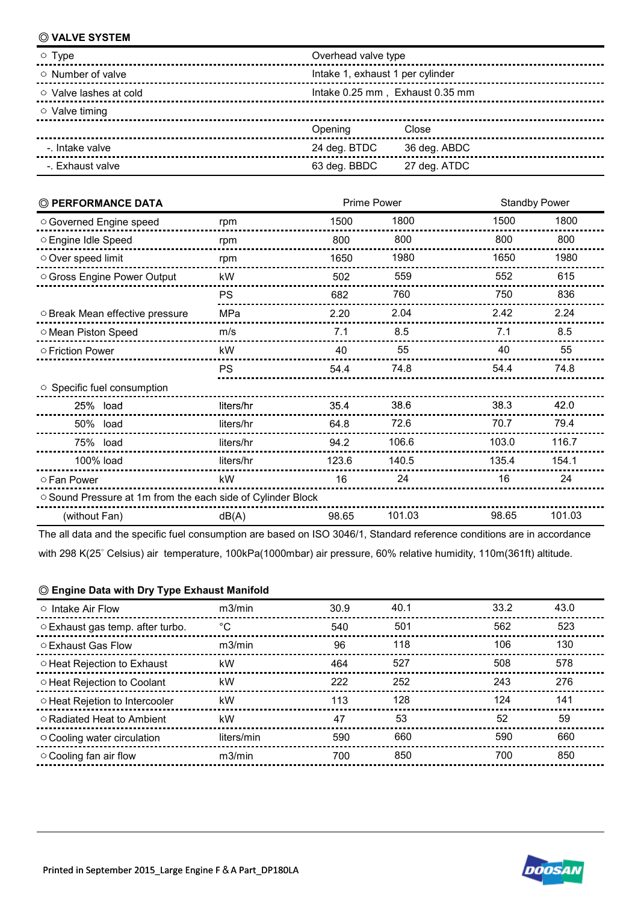#### **◎ VALVE SYSTEM**

| $\circ$ Type                 | Overhead valve type              |              |  |  |
|------------------------------|----------------------------------|--------------|--|--|
| $\circ$ Number of valve      | Intake 1, exhaust 1 per cylinder |              |  |  |
| $\circ$ Valve lashes at cold | Intake 0.25 mm, Exhaust 0.35 mm  |              |  |  |
| $\circ$ Valve timing         |                                  |              |  |  |
|                              | Opening                          | Close        |  |  |
| -. Intake valve              | 24 deg. BTDC                     | 36 deg. ABDC |  |  |
| -. Exhaust valve             | 63 deg. BBDC                     | 27 deg. ATDC |  |  |

| © PERFORMANCE DATA                                        |           | Prime Power |        |       | <b>Standby Power</b> |  |
|-----------------------------------------------------------|-----------|-------------|--------|-------|----------------------|--|
| ○ Governed Engine speed                                   | rpm       | 1500        | 1800   | 1500  | 1800                 |  |
| ○ Engine Idle Speed                                       | rpm       | 800         | 800    | 800   | 800                  |  |
| Over speed limit                                          | rpm       | 1650        | 1980   | 1650  | 1980                 |  |
| ○ Gross Engine Power Output                               | kW        | 502         | 559    | 552   | 615                  |  |
|                                                           | <b>PS</b> | 682         | 760    | 750   | 836                  |  |
| O Break Mean effective pressure                           | MPa       | 2.20        | 2.04   | 2.42  | 2.24                 |  |
| O Mean Piston Speed                                       | m/s       | 7.1         | 8.5    | 7.1   | 8.5                  |  |
| ○ Friction Power                                          | kW        | 40          | 55     | 40    | 55                   |  |
|                                                           | <b>PS</b> | 54.4        | 74.8   | 54.4  | 74.8                 |  |
| ○ Specific fuel consumption                               |           |             |        |       |                      |  |
| 25% load                                                  | liters/hr | 35.4        | 38.6   | 38.3  | 42.0                 |  |
| 50% load                                                  | liters/hr | 64.8        | 72.6   | 70.7  | 79.4                 |  |
| 75% load                                                  | liters/hr | 94.2        | 106.6  | 103.0 | 116.7                |  |
| 100% load                                                 | liters/hr | 123.6       | 140.5  | 135.4 | 154.1                |  |
| ○ Fan Power                                               | kW        | 16          | 24     | 16    | 24                   |  |
| Sound Pressure at 1m from the each side of Cylinder Block |           |             |        |       |                      |  |
| (without Fan)                                             | dB(A)     | 98.65       | 101.03 | 98.65 | 101.03               |  |

The all data and the specific fuel consumption are based on ISO 3046/1, Standard reference conditions are in accordance

with 298 K(25˚ Celsius) air temperature, 100kPa(1000mbar) air pressure, 60% relative humidity, 110m(361ft) altitude.

#### **◎ Engine Data with Dry Type Exhaust Manifold**

| $\circ$ Intake Air Flow          | m3/min     | 30.9 | 40.1 | 33.2 | 43.0 |
|----------------------------------|------------|------|------|------|------|
| ○ Exhaust gas temp. after turbo. | °C         | 540  | 501  | 562  | 523  |
| ○ Exhaust Gas Flow               | m3/min     | 96   | 118  | 106  | 130  |
| ○ Heat Rejection to Exhaust      | kW         | 464  | 527  | 508  | 578  |
| ○ Heat Rejection to Coolant      | kW         | 222  | 252  | 243  | 276  |
| ○ Heat Rejetion to Intercooler   | kW         | 113  | 128  | 124  | 141  |
| ○ Radiated Heat to Ambient       | kW         | 47   | 53   | 52   | 59   |
| ○ Cooling water circulation      | liters/min | 590  | 660  | 590  | 660  |
| $\circ$ Cooling fan air flow     | m3/min     | 700  | 850  | 700  | 850  |